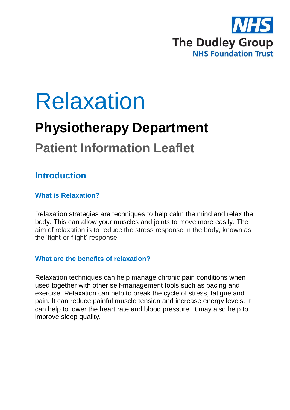

# Relaxation

# **Physiotherapy Department**

# **Patient Information Leaflet**

### **Introduction**

#### **What is Relaxation?**

Relaxation strategies are techniques to help calm the mind and relax the body. This can allow your muscles and joints to move more easily. The aim of relaxation is to reduce the stress response in the body, known as the 'fight‐or‐flight' response.

#### **What are the benefits of relaxation?**

Relaxation techniques can help manage chronic pain conditions when used together with other self-management tools such as pacing and exercise. Relaxation can help to break the cycle of stress, fatigue and pain. It can reduce painful muscle tension and increase energy levels. It can help to lower the heart rate and blood pressure. It may also help to improve sleep quality.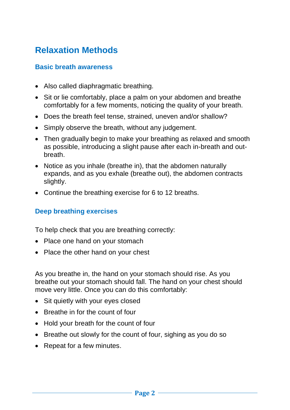# **Relaxation Methods**

#### **Basic breath awareness**

- Also called diaphragmatic breathing.
- Sit or lie comfortably, place a palm on your abdomen and breathe comfortably for a few moments, noticing the quality of your breath.
- Does the breath feel tense, strained, uneven and/or shallow?
- Simply observe the breath, without any judgement.
- Then gradually begin to make your breathing as relaxed and smooth as possible, introducing a slight pause after each in-breath and outbreath.
- Notice as you inhale (breathe in), that the abdomen naturally expands, and as you exhale (breathe out), the abdomen contracts slightly.
- Continue the breathing exercise for 6 to 12 breaths.

#### **Deep breathing exercises**

To help check that you are breathing correctly:

- Place one hand on your stomach
- Place the other hand on your chest

As you breathe in, the hand on your stomach should rise. As you breathe out your stomach should fall. The hand on your chest should move very little. Once you can do this comfortably:

- Sit quietly with your eyes closed
- Breathe in for the count of four
- Hold your breath for the count of four
- Breathe out slowly for the count of four, sighing as you do so
- Repeat for a few minutes.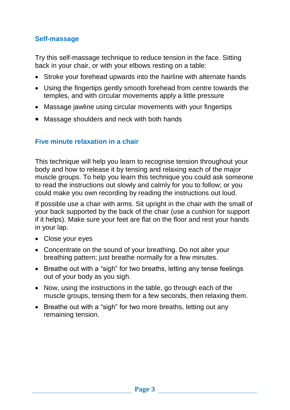#### **Self-massage**

Try this self-massage technique to reduce tension in the face. Sitting back in your chair, or with your elbows resting on a table:

- Stroke your forehead upwards into the hairline with alternate hands
- Using the fingertips gently smooth forehead from centre towards the temples, and with circular movements apply a little pressure
- Massage jawline using circular movements with your fingertips
- Massage shoulders and neck with both hands

#### **Five minute relaxation in a chair**

This technique will help you learn to recognise tension throughout your body and how to release it by tensing and relaxing each of the major muscle groups. To help you learn this technique you could ask someone to read the instructions out slowly and calmly for you to follow; or you could make you own recording by reading the instructions out loud.

If possible use a chair with arms. Sit upright in the chair with the small of your back supported by the back of the chair (use a cushion for support if it helps). Make sure your feet are flat on the floor and rest your hands in your lap.

- Close your eyes
- Concentrate on the sound of your breathing. Do not alter your breathing pattern; just breathe normally for a few minutes.
- Breathe out with a "sigh" for two breaths, letting any tense feelings out of your body as you sigh.
- Now, using the instructions in the table, go through each of the muscle groups, tensing them for a few seconds, then relaxing them.
- Breathe out with a "sigh" for two more breaths, letting out any remaining tension.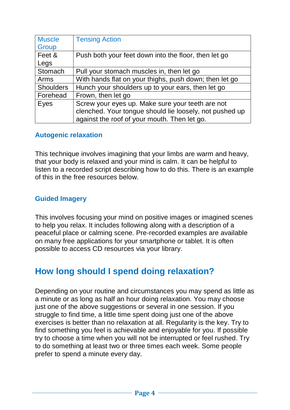| <b>Muscle</b>    | <b>Tensing Action</b>                                   |
|------------------|---------------------------------------------------------|
| Group            |                                                         |
| Feet &           | Push both your feet down into the floor, then let go    |
| Legs             |                                                         |
| Stomach          | Pull your stomach muscles in, then let go               |
| Arms             | With hands flat on your thighs, push down; then let go  |
| <b>Shoulders</b> | Hunch your shoulders up to your ears, then let go       |
| Forehead         | Frown, then let go                                      |
| Eyes             | Screw your eyes up. Make sure your teeth are not        |
|                  | clenched. Your tongue should lie loosely, not pushed up |
|                  | against the roof of your mouth. Then let go.            |

#### **Autogenic relaxation**

This technique involves imagining that your limbs are warm and heavy, that your body is relaxed and your mind is calm. It can be helpful to listen to a recorded script describing how to do this. There is an example of this in the free resources below.

#### **Guided Imagery**

This involves focusing your mind on positive images or imagined scenes to help you relax. It includes following along with a description of a peaceful place or calming scene. Pre-recorded examples are available on many free applications for your smartphone or tablet. It is often possible to access CD resources via your library.

### **How long should I spend doing relaxation?**

Depending on your routine and circumstances you may spend as little as a minute or as long as half an hour doing relaxation. You may choose just one of the above suggestions or several in one session. If you struggle to find time, a little time spent doing just one of the above exercises is better than no relaxation at all. Regularity is the key. Try to find something you feel is achievable and enjoyable for you. If possible try to choose a time when you will not be interrupted or feel rushed. Try to do something at least two or three times each week. Some people prefer to spend a minute every day.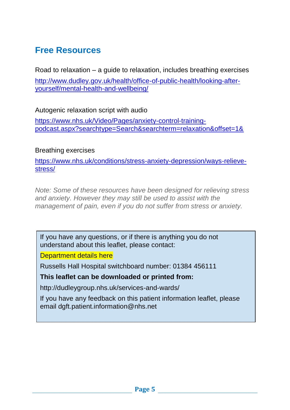## **Free Resources**

Road to relaxation – a guide to relaxation, includes breathing exercises [http://www.dudley.gov.uk/health/office-of-public-health/looking-after](http://www.dudley.gov.uk/health/office-of-public-health/looking-after-yourself/mental-health-and-wellbeing/)[yourself/mental-health-and-wellbeing/](http://www.dudley.gov.uk/health/office-of-public-health/looking-after-yourself/mental-health-and-wellbeing/)

Autogenic relaxation script with audio

https://www.nhs.uk/Video/Pages/anxiety-control-trainingpodcast.aspx?searchtype=Search&searchterm=relaxation&offset=1&

#### Breathing exercises

[https://www.nhs.uk/conditions/stress-anxiety-depression/ways-relieve](https://www.nhs.uk/conditions/stress-anxiety-depression/ways-relieve-stress/)[stress/](https://www.nhs.uk/conditions/stress-anxiety-depression/ways-relieve-stress/)

*Note: Some of these resources have been designed for relieving stress and anxiety. However they may still be used to assist with the management of pain, even if you do not suffer from stress or anxiety.*

If you have any questions, or if there is anything you do not understand about this leaflet, please contact:

Department details here

Russells Hall Hospital switchboard number: 01384 456111

#### **This leaflet can be downloaded or printed from:**

http://dudleygroup.nhs.uk/services-and-wards/

If you have any feedback on this patient information leaflet, please email dgft.patient.information@nhs.net